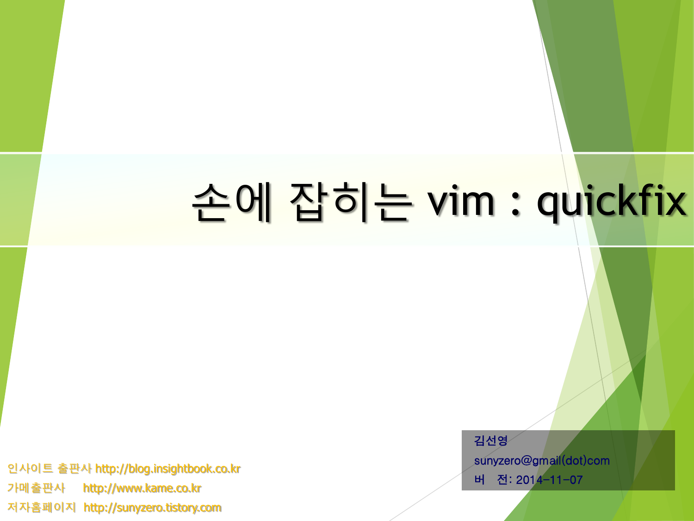# 손에 잡히는 vim : quickfix

인사이트 출판사 http://blog.insightbook.co.kr 가메출판사 http://www.kame.co.kr 저자홈페이지 http://sunyzero.tistory.com

김선영 sunyzero@gmail(dot)com 버 전: 2014-11-07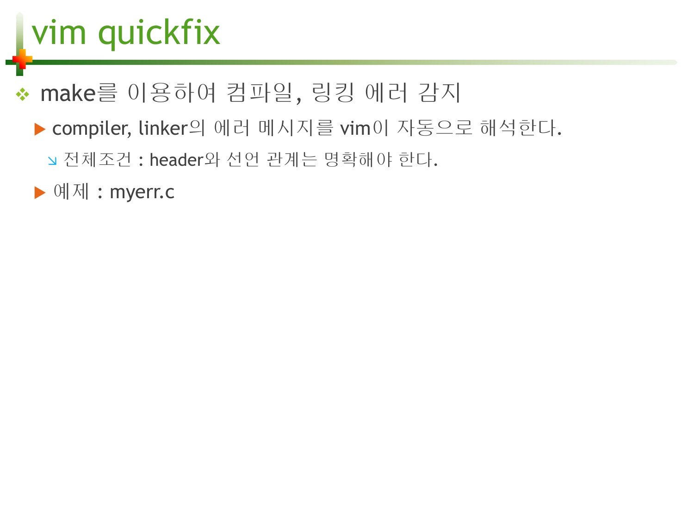# vim quickfix

#### \* make를 이용하여 컴파일, 링킹 에러 감지

- ▶ compiler, linker의 에러 메시지를 vim이 자동으로 해석한다.
	- 전체조건 : header와 선언 관계는 명확해야 한다.

▶ 예제 : myerr.c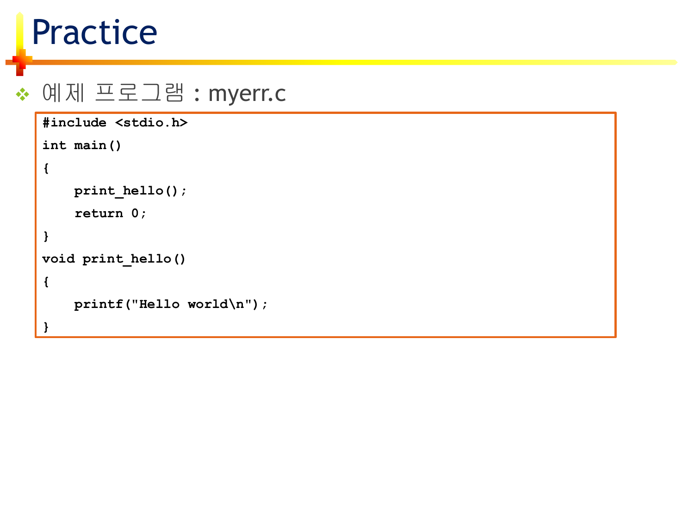### Practice

#### ◆ 예제 프로그램 : myerr.c

```
#include <stdio.h>
int main()
{
    print_hello();
    return 0;
}
void print_hello()
{
    printf("Hello world\n");
}
```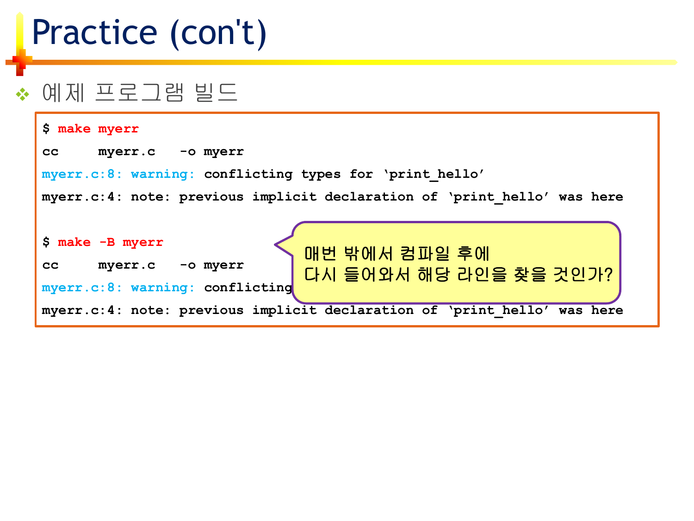### Practice (con't)

#### ◆ 예제 프로그램 빌드

| \$ make myerr                                                                                                                                                                                              |
|------------------------------------------------------------------------------------------------------------------------------------------------------------------------------------------------------------|
| myerr.c -o myerr<br>cc                                                                                                                                                                                     |
| myerr.c:8: warning: conflicting types for 'print hello'                                                                                                                                                    |
| myerr.c:4: note: previous implicit declaration of 'print hello' was here                                                                                                                                   |
| $$$ make $-B$ myerr<br>매번 밖에서 컴파일 후에<br>-o myerr<br>myerr.c<br>cc<br>다시 들어와서 해당 라인을 찾을 것인가?<br>myerr.c:8: warning: conflicting<br>myerr.c:4: note: previous implicit declaration of 'print hello' was here |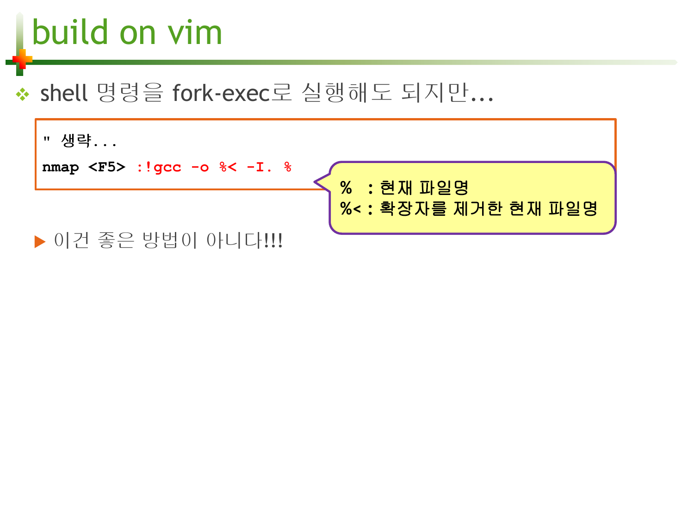# build on vim

#### ◆ shell 명령을 fork-exec로 실행해도 되지만...

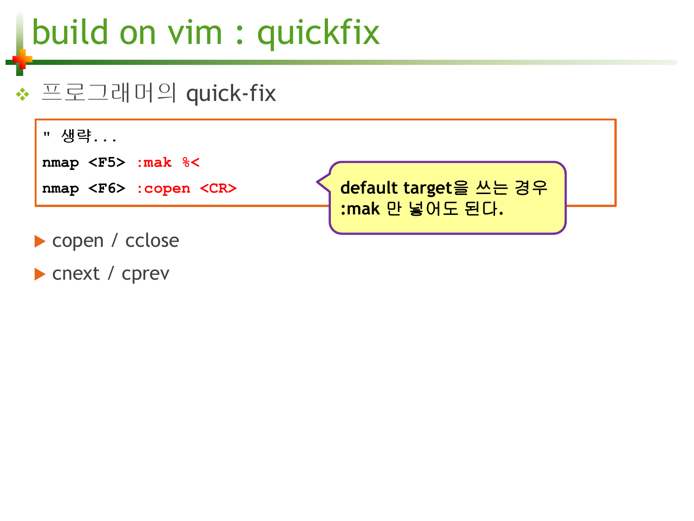# build on vim : quickfix

#### 프로그래머의 quick-fix



cnext / cprev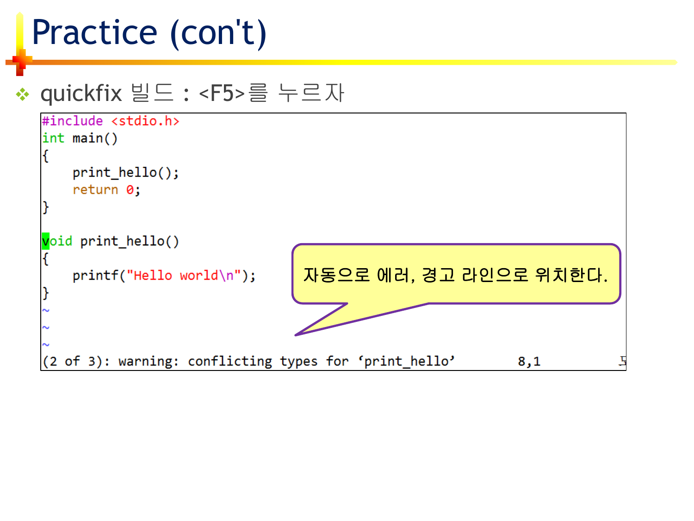## Practice (con't)

#### **☆ quickfix 빌드 : <F5>를 누르자**

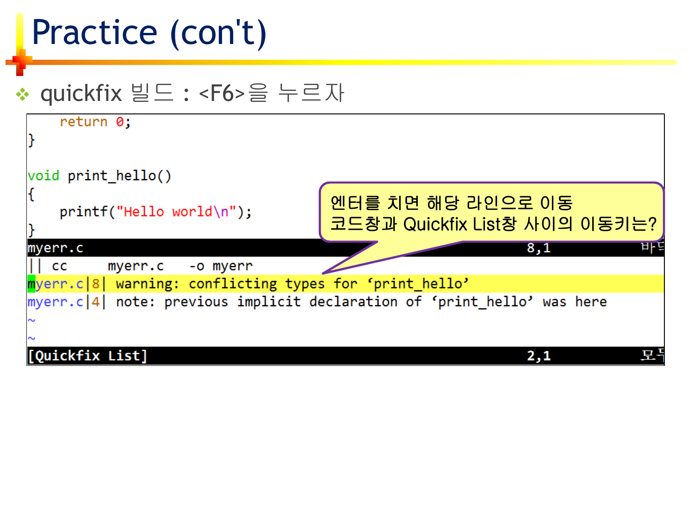### Practice (con't)

#### ◆ quickfix 빌드 : <F6>을 누르자

| return 0;                                                                |                                                    |
|--------------------------------------------------------------------------|----------------------------------------------------|
| void print hello()                                                       |                                                    |
| $printf("Hello world\n')$ ;                                              | 엔터를 치면 해당 라인으로 이동<br>코드창과 Quickfix List창 사이의 이동키는? |
| myerr.c                                                                  | 마호<br>8,1                                          |
| <b>CC</b><br>myerr.c -o myerr                                            |                                                    |
| myerr.c 8  warning: conflicting types for 'print_hello'                  |                                                    |
| myerr.c 4  note: previous implicit declaration of 'print hello' was here |                                                    |
| [Quickfix List]                                                          |                                                    |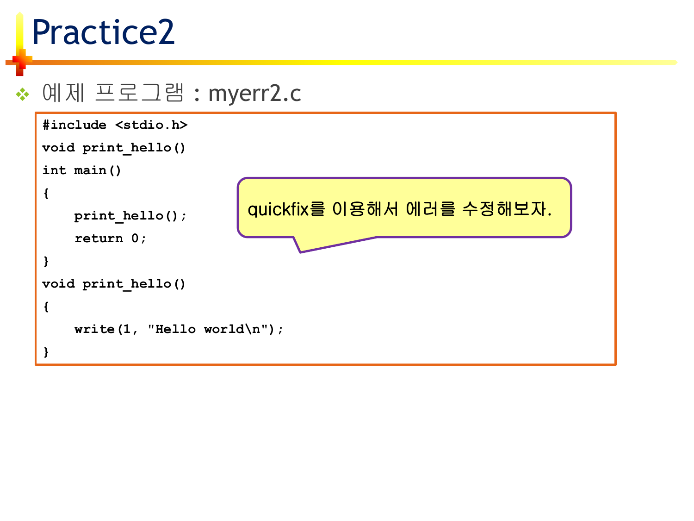### Practice2

#### ◆ 예제 프로그램 : myerr2.c

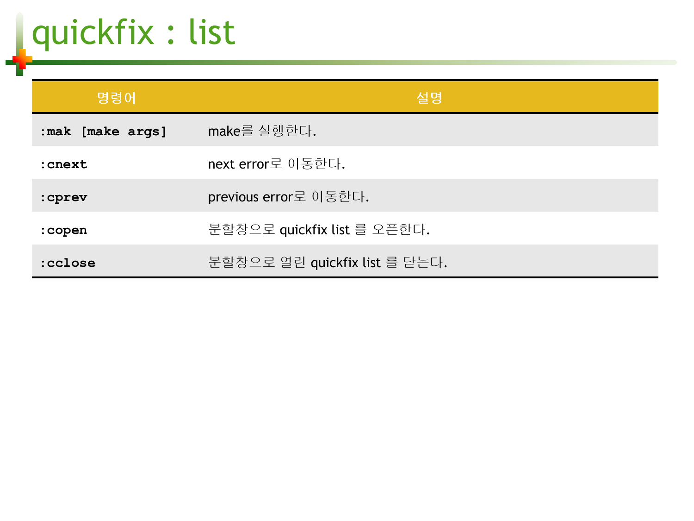quickfix : list

| 명령어               | 설명                            |
|-------------------|-------------------------------|
| : mak [make args] | make를 실행한다.                   |
| : cnext           | next error로 이동한다.             |
| : cprev           | previous error로 이동한다.         |
| : copen           | 분할창으로 quickfix list 를 오픈한다.   |
| :cclose           | 분할창으로 열린 quickfix list 를 닫는다. |